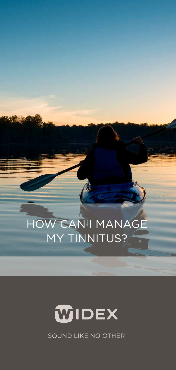## HOW CAN I MANAGE MY TINNITUS?



SOUND LIKE NO OTHER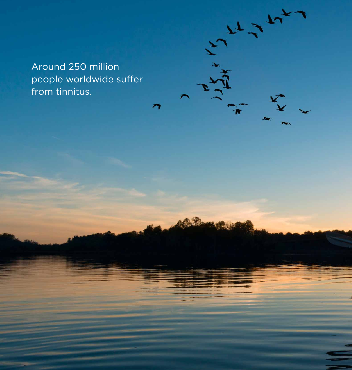Around 250 million people worldwide suffer from tinnitus.

 $\frac{1}{2}$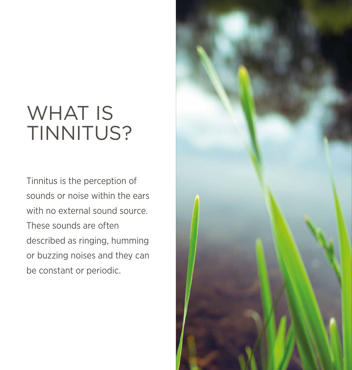## WHAT IS TINNITUS?

Tinnitus is the perception of sounds or noise within the ears with no external sound source. These sounds are often described as ringing, humming or buzzing noises and they can be constant or periodic.

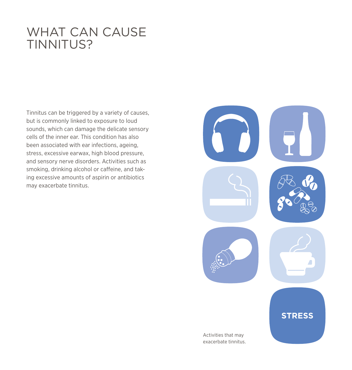### WHAT CAN CAUSE TINNITUS?

Tinnitus can be triggered by a variety of causes, but is commonly linked to exposure to loud sounds, which can damage the delicate sensory cells of the inner ear. This condition has also been associated with ear infections, ageing, stress, excessive earwax, high blood pressure, and sensory nerve disorders. Activities such as smoking, drinking alcohol or caffeine, and taking excessive amounts of aspirin or antibiotics may exacerbate tinnitus.

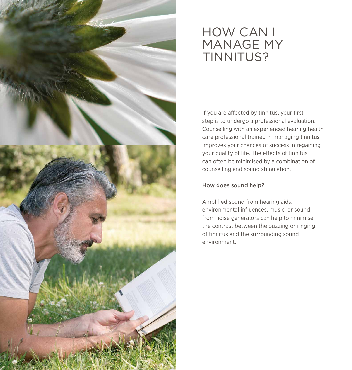

### HOW CAN I MANAGE MY TINNITUS?

If you are affected by tinnitus, your first step is to undergo a professional evaluation. Counselling with an experienced hearing health care professional trained in managing tinnitus improves your chances of success in regaining your quality of life. The effects of tinnitus can often be minimised by a combination of counselling and sound stimulation.

### How does sound help?

Amplified sound from hearing aids, environmental influences, music, or sound from noise generators can help to minimise the contrast between the buzzing or ringing of tinnitus and the surrounding sound environment.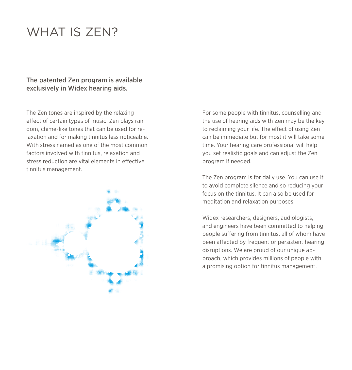## WHAT IS **ZEN?**

### The patented Zen program is available exclusively in Widex hearing aids.

The Zen tones are inspired by the relaxing effect of certain types of music. Zen plays random, chime-like tones that can be used for relaxation and for making tinnitus less noticeable. With stress named as one of the most common factors involved with tinnitus, relaxation and stress reduction are vital elements in effective tinnitus management.



For some people with tinnitus, counselling and the use of hearing aids with Zen may be the key to reclaiming your life. The effect of using Zen can be immediate but for most it will take some time. Your hearing care professional will help you set realistic goals and can adjust the Zen program if needed.

The Zen program is for daily use. You can use it to avoid complete silence and so reducing your focus on the tinnitus. It can also be used for meditation and relaxation purposes.

Widex researchers, designers, audiologists, and engineers have been committed to helping people suffering from tinnitus, all of whom have been affected by frequent or persistent hearing disruptions. We are proud of our unique approach, which provides millions of people with a promising option for tinnitus management.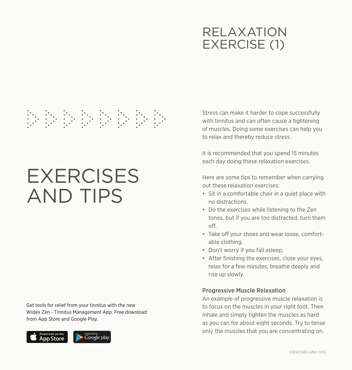## RELAXATION EXERCISE (1)

# 

## **EXERCISES** AND TIPS

Get tools for relief from your tinnitus with the new Widex Zen - Tinnitus Management App. Free download from App Store and Google Play.



Stress can make it harder to cope successfully with tinnitus and can often cause a tightening of muscles. Doing some exercises can help you to relax and thereby reduce stress.

It is recommended that you spend 15 minutes each day doing these relaxation exercises.

Here are some tips to remember when carrying out these relaxation exercises:

- Sit in a comfortable chair in a quiet place with no distractions.
- Do the exercises while listening to the Zen tones, but if you are too distracted, turn them off.
- Take off your shoes and wear loose, comfortable clothing.
- Don't worry if you fall asleep.
- After finishing the exercises, close your eyes, relax for a few minutes, breathe deeply and rise up slowly.

### Progressive Muscle Relaxation

An example of progressive muscle relaxation is to focus on the muscles in your right foot. Then inhale and simply tighten the muscles as hard as you can for about eight seconds. Try to tense only the muscles that you are concentrating on.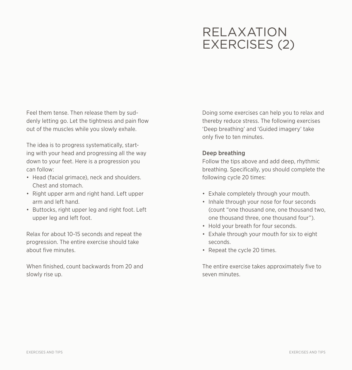## RELAXATION EXERCISES (2)

Feel them tense. Then release them by suddenly letting go. Let the tightness and pain flow out of the muscles while you slowly exhale.

The idea is to progress systematically, starting with your head and progressing all the way down to your feet. Here is a progression you can follow:

- Head (facial grimace), neck and shoulders. Chest and stomach.
- Right upper arm and right hand. Left upper arm and left hand.
- Buttocks, right upper leg and right foot. Left upper leg and left foot.

Relax for about 10-15 seconds and repeat the progression. The entire exercise should take about five minutes.

When finished, count backwards from 20 and slowly rise up.

Doing some exercises can help you to relax and thereby reduce stress. The following exercises 'Deep breathing' and 'Guided imagery' take only five to ten minutes.

### Deep breathing

Follow the tips above and add deep, rhythmic breathing. Specifically, you should complete the following cycle 20 times:

- Exhale completely through your mouth.
- Inhale through your nose for four seconds (count "one thousand one, one thousand two, one thousand three, one thousand four").
- Hold your breath for four seconds.
- Exhale through your mouth for six to eight seconds.
- Repeat the cycle 20 times.

The entire exercise takes approximately five to seven minutes.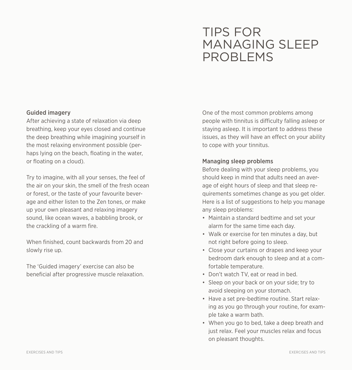### TIPS FOR MANAGING SLEEP PROBLEMS

### Guided imagery

After achieving a state of relaxation via deep breathing, keep your eyes closed and continue the deep breathing while imagining yourself in the most relaxing environment possible (perhaps lying on the beach, floating in the water, or floating on a cloud).

Try to imagine, with all your senses, the feel of the air on your skin, the smell of the fresh ocean or forest, or the taste of your favourite beverage and either listen to the Zen tones, or make up your own pleasant and relaxing imagery sound, like ocean waves, a babbling brook, or the crackling of a warm fire.

When finished, count backwards from 20 and slowly rise up.

The 'Guided imagery' exercise can also be beneficial after progressive muscle relaxation.

One of the most common problems among people with tinnitus is difficulty falling asleep or staying asleep. It is important to address these issues, as they will have an effect on your ability to cope with your tinnitus.

### Managing sleep problems

Before dealing with your sleep problems, you should keep in mind that adults need an average of eight hours of sleep and that sleep requirements sometimes change as you get older. Here is a list of suggestions to help you manage any sleep problems:

- Maintain a standard bedtime and set your alarm for the same time each day.
- Walk or exercise for ten minutes a day, but not right before going to sleep.
- Close your curtains or drapes and keep your bedroom dark enough to sleep and at a comfortable temperature.
- Don't watch TV, eat or read in bed.
- Sleep on your back or on your side; try to avoid sleeping on your stomach.
- Have a set pre-bedtime routine. Start relaxing as you go through your routine, for example take a warm bath.
- When you go to bed, take a deep breath and just relax. Feel your muscles relax and focus on pleasant thoughts.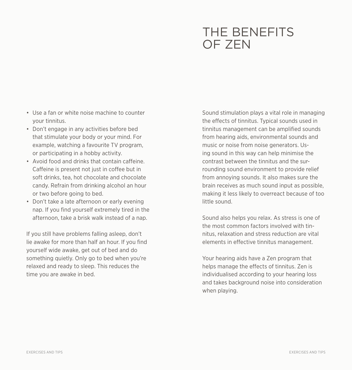### THE BENEFITS OF ZEN

- Use a fan or white noise machine to counter your tinnitus.
- Don't engage in any activities before bed that stimulate your body or your mind. For example, watching a favourite TV program, or participating in a hobby activity.
- Avoid food and drinks that contain caffeine. Caffeine is present not just in coffee but in soft drinks, tea, hot chocolate and chocolate candy. Refrain from drinking alcohol an hour or two before going to bed.
- Don't take a late afternoon or early evening nap. If you find yourself extremely tired in the afternoon, take a brisk walk instead of a nap.

If you still have problems falling asleep, don't lie awake for more than half an hour. If you find yourself wide awake, get out of bed and do something quietly. Only go to bed when you're relaxed and ready to sleep. This reduces the time you are awake in bed.

Sound stimulation plays a vital role in managing the effects of tinnitus. Typical sounds used in tinnitus management can be amplified sounds from hearing aids, environmental sounds and music or noise from noise generators. Using sound in this way can help minimise the contrast between the tinnitus and the surrounding sound environment to provide relief from annoying sounds. It also makes sure the brain receives as much sound input as possible, making it less likely to overreact because of too little sound.

Sound also helps you relax. As stress is one of the most common factors involved with tinnitus, relaxation and stress reduction are vital elements in effective tinnitus management.

Your hearing aids have a Zen program that helps manage the effects of tinnitus. Zen is individualised according to your hearing loss and takes background noise into consideration when playing.